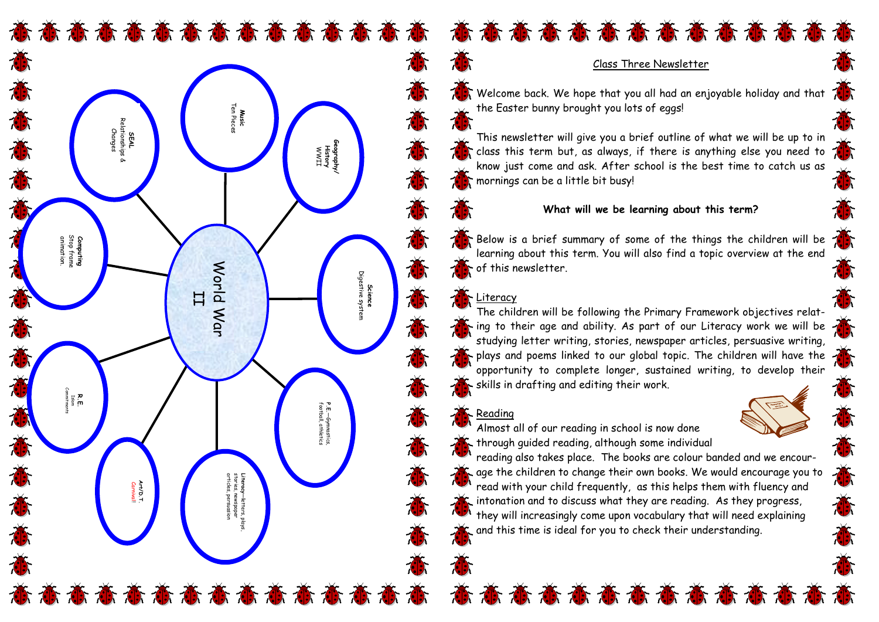奋态奋奋奋奋奋奋动奋奋 奋奋奋奋奋奋奋奋奋奋奋奋奋奋



## Class Three Newsletter

Welcome back. We hope that you all had an enjoyable holiday and that the Easter bunny brought you lots of eggs!

This newsletter will give you a brief outline of what we will be up to in class this term but, as always, if there is anything else you need to know just come and ask. After school is the best time to catch us as mornings can be a little bit busy!

## **What will we be learning about this term?**

Below is a brief summary of some of the things the children will be learning about this term. You will also find a topic overview at the end of this newsletter.

## Literacy

The children will be following the Primary Framework objectives relating to their age and ability. As part of our Literacy work we will be studying letter writing, stories, newspaper articles, persuasive writing, plays and poems linked to our global topic. The children will have the opportunity to complete longer, sustained writing, to develop their skills in drafting and editing their work.

# Reading



Almost all of our reading in school is now done through guided reading, although some individual

reading also takes place. The books are colour banded and we encourage the children to change their own books. We would encourage you to read with your child frequently, as this helps them with fluency and intonation and to discuss what they are reading. As they progress, they will increasingly come upon vocabulary that will need explaining and this time is ideal for you to check their understanding.